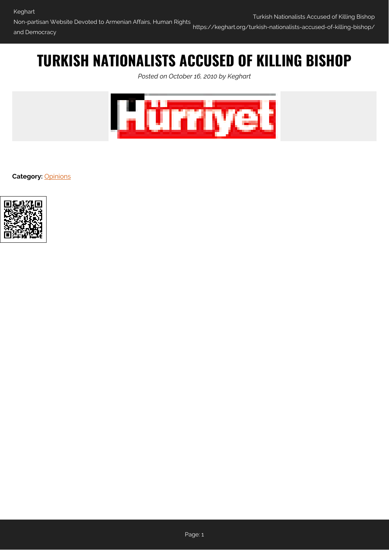## **TURKISH NATIONALISTS ACCUSED OF KILLING BISHOP**

*Posted on October 16, 2010 by Keghart*



**Category:** [Opinions](https://keghart.org/category/opinions/)

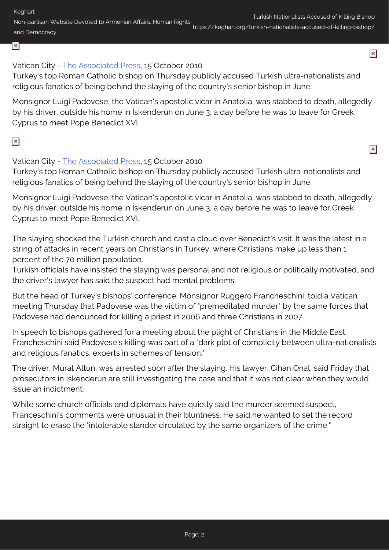Keghart

Turkish Nationalists Accused of Killing Bishop

 $\pmb{\times}$ 

 $\pmb{\times}$ 

Non-partisan Website Devoted to Armenian Affairs, Human Rights and Democracy https://keghart.org/turkish-nationalists-accused-of-killing-bishop/

 $\pmb{\times}$ 

## Vatican City - [The Associated Press,](http://www.hurriyetdailynews.com/n.php?n=turkish-nationalists-accused-of-killing-bishop-2010-10-15) 15 October 2010

Turkey's top Roman Catholic bishop on Thursday publicly accused Turkish ultra-nationalists and religious fanatics of being behind the slaying of the country's senior bishop in June.

Monsignor Luigi Padovese, the Vatican's apostolic vicar in Anatolia, was stabbed to death, allegedly by his driver, outside his home in İskenderun on June 3, a day before he was to leave for Greek Cyprus to meet Pope Benedict XVI.

## $\pmb{\times}$

## Vatican City - [The Associated Press,](http://www.hurriyetdailynews.com/n.php?n=turkish-nationalists-accused-of-killing-bishop-2010-10-15) 15 October 2010

Turkey's top Roman Catholic bishop on Thursday publicly accused Turkish ultra-nationalists and religious fanatics of being behind the slaying of the country's senior bishop in June.

Monsignor Luigi Padovese, the Vatican's apostolic vicar in Anatolia, was stabbed to death, allegedly by his driver, outside his home in İskenderun on June 3, a day before he was to leave for Greek Cyprus to meet Pope Benedict XVI.

The slaying shocked the Turkish church and cast a cloud over Benedict's visit. It was the latest in a string of attacks in recent years on Christians in Turkey, where Christians make up less than 1 percent of the 70 million population.

Turkish officials have insisted the slaying was personal and not religious or politically motivated, and the driver's lawyer has said the suspect had mental problems.

But the head of Turkey's bishops' conference, Monsignor Ruggero Francheschini, told a Vatican meeting Thursday that Padovese was the victim of "premeditated murder" by the same forces that Padovese had denounced for killing a priest in 2006 and three Christians in 2007.

In speech to bishops gathered for a meeting about the plight of Christians in the Middle East, Francheschini said Padovese's killing was part of a "dark plot of complicity between ultra-nationalists and religious fanatics, experts in schemes of tension."

The driver, Murat Altun, was arrested soon after the slaying. His lawyer, Cihan Onal, said Friday that prosecutors in İskenderun are still investigating the case and that it was not clear when they would issue an indictment.

While some church officials and diplomats have quietly said the murder seemed suspect, Franceschini's comments were unusual in their bluntness. He said he wanted to set the record straight to erase the "intolerable slander circulated by the same organizers of the crime."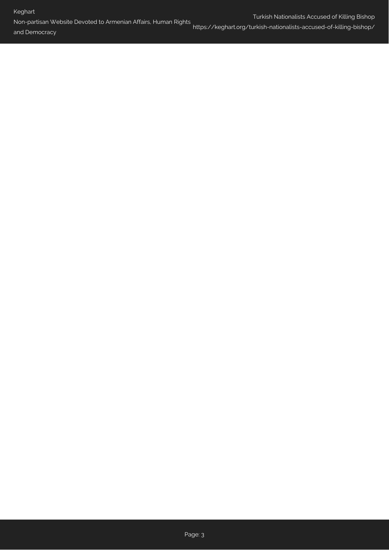Non-partisan Website Devoted to Armenian Affairs, Human Rights

and Democracy https://keghart.org/turkish-nationalists-accused-of-killing-bishop/